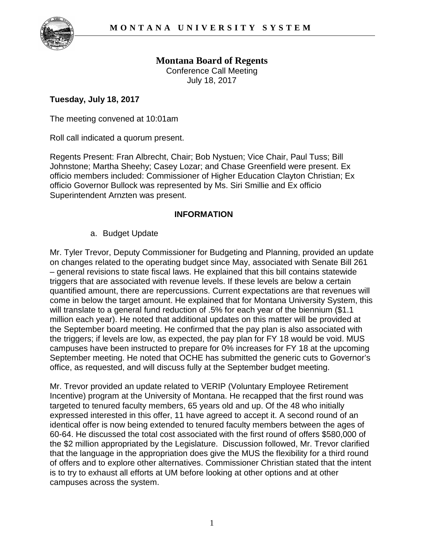

**Montana Board of Regents**  Conference Call Meeting July 18, 2017

## **Tuesday, July 18, 2017**

The meeting convened at 10:01am

Roll call indicated a quorum present.

Regents Present: Fran Albrecht, Chair; Bob Nystuen; Vice Chair, Paul Tuss; Bill Johnstone; Martha Sheehy; Casey Lozar; and Chase Greenfield were present. Ex officio members included: Commissioner of Higher Education Clayton Christian; Ex officio Governor Bullock was represented by Ms. Siri Smillie and Ex officio Superintendent Arnzten was present.

## **INFORMATION**

a. Budget Update

Mr. Tyler Trevor, Deputy Commissioner for Budgeting and Planning, provided an update on changes related to the operating budget since May, associated with Senate Bill 261 – general revisions to state fiscal laws. He explained that this bill contains statewide triggers that are associated with revenue levels. If these levels are below a certain quantified amount, there are repercussions. Current expectations are that revenues will come in below the target amount. He explained that for Montana University System, this will translate to a general fund reduction of .5% for each year of the biennium (\$1.1 million each year). He noted that additional updates on this matter will be provided at the September board meeting. He confirmed that the pay plan is also associated with the triggers; if levels are low, as expected, the pay plan for FY 18 would be void. MUS campuses have been instructed to prepare for 0% increases for FY 18 at the upcoming September meeting. He noted that OCHE has submitted the generic cuts to Governor's office, as requested, and will discuss fully at the September budget meeting.

Mr. Trevor provided an update related to VERIP (Voluntary Employee Retirement Incentive) program at the University of Montana. He recapped that the first round was targeted to tenured faculty members, 65 years old and up. Of the 48 who initially expressed interested in this offer, 11 have agreed to accept it. A second round of an identical offer is now being extended to tenured faculty members between the ages of 60-64. He discussed the total cost associated with the first round of offers \$580,000 of the \$2 million appropriated by the Legislature. Discussion followed, Mr. Trevor clarified that the language in the appropriation does give the MUS the flexibility for a third round of offers and to explore other alternatives. Commissioner Christian stated that the intent is to try to exhaust all efforts at UM before looking at other options and at other campuses across the system.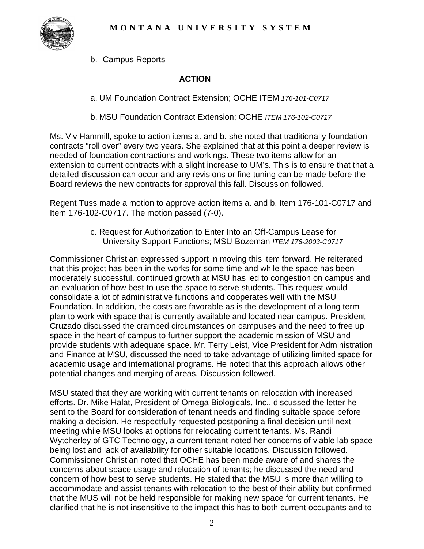

b. Campus Reports

## **ACTION**

a. UM Foundation Contract Extension; OCHE ITEM *176-101-C0717*

b. MSU Foundation Contract Extension; OCHE *ITEM 176-102-C0717*

Ms. Viv Hammill, spoke to action items a. and b. she noted that traditionally foundation contracts "roll over" every two years. She explained that at this point a deeper review is needed of foundation contractions and workings. These two items allow for an extension to current contracts with a slight increase to UM's. This is to ensure that that a detailed discussion can occur and any revisions or fine tuning can be made before the Board reviews the new contracts for approval this fall. Discussion followed.

Regent Tuss made a motion to approve action items a. and b. Item 176-101-C0717 and Item 176-102-C0717. The motion passed (7-0).

> c. Request for Authorization to Enter Into an Off-Campus Lease for University Support Functions; MSU-Bozeman *ITEM 176-2003-C0717*

Commissioner Christian expressed support in moving this item forward. He reiterated that this project has been in the works for some time and while the space has been moderately successful, continued growth at MSU has led to congestion on campus and an evaluation of how best to use the space to serve students. This request would consolidate a lot of administrative functions and cooperates well with the MSU Foundation. In addition, the costs are favorable as is the development of a long termplan to work with space that is currently available and located near campus. President Cruzado discussed the cramped circumstances on campuses and the need to free up space in the heart of campus to further support the academic mission of MSU and provide students with adequate space. Mr. Terry Leist, Vice President for Administration and Finance at MSU, discussed the need to take advantage of utilizing limited space for academic usage and international programs. He noted that this approach allows other potential changes and merging of areas. Discussion followed.

MSU stated that they are working with current tenants on relocation with increased efforts. Dr. Mike Halat, President of Omega Biologicals, Inc., discussed the letter he sent to the Board for consideration of tenant needs and finding suitable space before making a decision. He respectfully requested postponing a final decision until next meeting while MSU looks at options for relocating current tenants. Ms. Randi Wytcherley of GTC Technology, a current tenant noted her concerns of viable lab space being lost and lack of availability for other suitable locations. Discussion followed. Commissioner Christian noted that OCHE has been made aware of and shares the concerns about space usage and relocation of tenants; he discussed the need and concern of how best to serve students. He stated that the MSU is more than willing to accommodate and assist tenants with relocation to the best of their ability but confirmed that the MUS will not be held responsible for making new space for current tenants. He clarified that he is not insensitive to the impact this has to both current occupants and to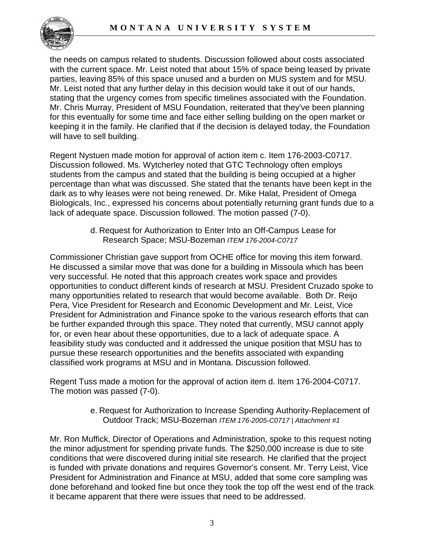

the needs on campus related to students. Discussion followed about costs associated with the current space. Mr. Leist noted that about 15% of space being leased by private parties, leaving 85% of this space unused and a burden on MUS system and for MSU. Mr. Leist noted that any further delay in this decision would take it out of our hands, stating that the urgency comes from specific timelines associated with the Foundation. Mr. Chris Murray, President of MSU Foundation, reiterated that they've been planning for this eventually for some time and face either selling building on the open market or keeping it in the family. He clarified that if the decision is delayed today, the Foundation will have to sell building.

Regent Nystuen made motion for approval of action item c. Item 176-2003-C0717. Discussion followed. Ms. Wytcherley noted that GTC Technology often employs students from the campus and stated that the building is being occupied at a higher percentage than what was discussed. She stated that the tenants have been kept in the dark as to why leases were not being renewed. Dr. Mike Halat, President of Omega Biologicals, Inc., expressed his concerns about potentially returning grant funds due to a lack of adequate space. Discussion followed. The motion passed (7-0).

> d. Request for Authorization to Enter Into an Off-Campus Lease for Research Space; MSU-Bozeman *ITEM 176-2004-C0717*

Commissioner Christian gave support from OCHE office for moving this item forward. He discussed a similar move that was done for a building in Missoula which has been very successful. He noted that this approach creates work space and provides opportunities to conduct different kinds of research at MSU. President Cruzado spoke to many opportunities related to research that would become available. Both Dr. Reijo Pera, Vice President for Research and Economic Development and Mr. Leist, Vice President for Administration and Finance spoke to the various research efforts that can be further expanded through this space. They noted that currently, MSU cannot apply for, or even hear about these opportunities, due to a lack of adequate space. A feasibility study was conducted and it addressed the unique position that MSU has to pursue these research opportunities and the benefits associated with expanding classified work programs at MSU and in Montana. Discussion followed.

Regent Tuss made a motion for the approval of action item d. Item 176-2004-C0717. The motion was passed (7-0).

> e. Request for Authorization to Increase Spending Authority-Replacement of Outdoor Track; MSU-Bozeman *ITEM 176-2005-C0717 | Attachment #1*

Mr. Ron Muffick, Director of Operations and Administration, spoke to this request noting the minor adjustment for spending private funds. The \$250,000 increase is due to site conditions that were discovered during initial site research. He clarified that the project is funded with private donations and requires Governor's consent. Mr. Terry Leist, Vice President for Administration and Finance at MSU, added that some core sampling was done beforehand and looked fine but once they took the top off the west end of the track it became apparent that there were issues that need to be addressed.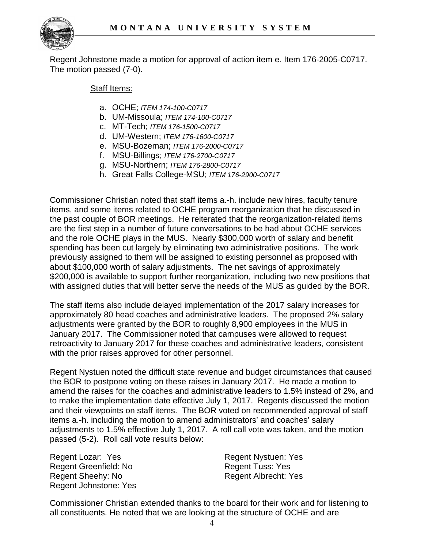

Regent Johnstone made a motion for approval of action item e. Item 176-2005-C0717. The motion passed (7-0).

## Staff Items:

- a. OCHE; *ITEM 174-100-C0717*
- b. UM-Missoula; *ITEM 174-100-C0717*
- c. MT-Tech; *ITEM 176-1500-C0717*
- d. UM-Western; *ITEM 176-1600-C0717*
- e. MSU-Bozeman; *ITEM 176-2000-C0717*
- f. MSU-Billings; *ITEM 176-2700-C0717*
- g. MSU-Northern; *ITEM 176-2800-C0717*
- h. Great Falls College-MSU; *ITEM 176-2900-C0717*

Commissioner Christian noted that staff items a.-h. include new hires, faculty tenure items, and some items related to OCHE program reorganization that he discussed in the past couple of BOR meetings. He reiterated that the reorganization-related items are the first step in a number of future conversations to be had about OCHE services and the role OCHE plays in the MUS. Nearly \$300,000 worth of salary and benefit spending has been cut largely by eliminating two administrative positions. The work previously assigned to them will be assigned to existing personnel as proposed with about \$100,000 worth of salary adjustments. The net savings of approximately \$200,000 is available to support further reorganization, including two new positions that with assigned duties that will better serve the needs of the MUS as guided by the BOR.

The staff items also include delayed implementation of the 2017 salary increases for approximately 80 head coaches and administrative leaders. The proposed 2% salary adjustments were granted by the BOR to roughly 8,900 employees in the MUS in January 2017. The Commissioner noted that campuses were allowed to request retroactivity to January 2017 for these coaches and administrative leaders, consistent with the prior raises approved for other personnel.

Regent Nystuen noted the difficult state revenue and budget circumstances that caused the BOR to postpone voting on these raises in January 2017. He made a motion to amend the raises for the coaches and administrative leaders to 1.5% instead of 2%, and to make the implementation date effective July 1, 2017. Regents discussed the motion and their viewpoints on staff items. The BOR voted on recommended approval of staff items a.-h. including the motion to amend administrators' and coaches' salary adjustments to 1.5% effective July 1, 2017. A roll call vote was taken, and the motion passed (5-2). Roll call vote results below:

Regent Lozar: Yes Regent Greenfield: No Regent Sheehy: No Regent Johnstone: Yes Regent Nystuen: Yes Regent Tuss: Yes Regent Albrecht: Yes

Commissioner Christian extended thanks to the board for their work and for listening to all constituents. He noted that we are looking at the structure of OCHE and are